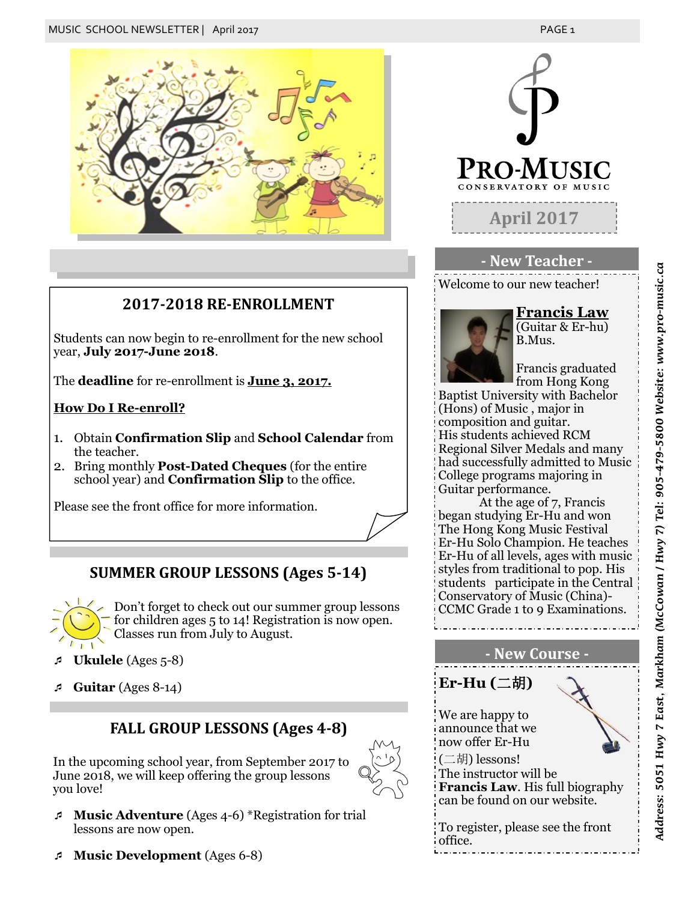

## **2017-2018 RE-ENROLLMENT**

Students can now begin to re-enrollment for the new school year, **July 2017-June 2018**.

The **deadline** for re-enrollment is **June 3, 2017.**

#### **How Do I Re-enroll?**

- 1. Obtain **Confirmation Slip** and **School Calendar** from the teacher.
- 2. Bring monthly **Post-Dated Cheques** (for the entire school year) and **Confirmation Slip** to the office.

Please see the front office for more information.

## **SUMMER GROUP LESSONS (Ages 5-14)**



Don't forget to check out our summer group lessons for children ages 5 to 14! Registration is now open. Classes run from July to August.

- **Ukulele** (Ages 5-8)
- **Guitar** (Ages 8-14)

### **FALL GROUP LESSONS (Ages 4-8)**

In the upcoming school year, from September 2017 to June 2018, we will keep offering the group lessons you love!



- **Music Adventure** (Ages 4-6) \*Registration for trial lessons are now open.
- **Music Development** (Ages 6-8)



#### **- New Teacher -**

Welcome to our new teacher!



(Guitar & Er-hu) B.Mus.

**Francis Law**

Francis graduated from Hong Kong

Baptist University with Bachelor (Hons) of Music , major in composition and guitar. His students achieved RCM Regional Silver Medals and many had successfully admitted to Music College programs majoring in Guitar performance.

At the age of 7, Francis began studying Er-Hu and won The Hong Kong Music Festival Er-Hu Solo Champion. He teaches Er-Hu of all levels, ages with music styles from traditional to pop. His students participate in the Central Conservatory of Music (China)- CCMC Grade 1 to 9 Examinations.

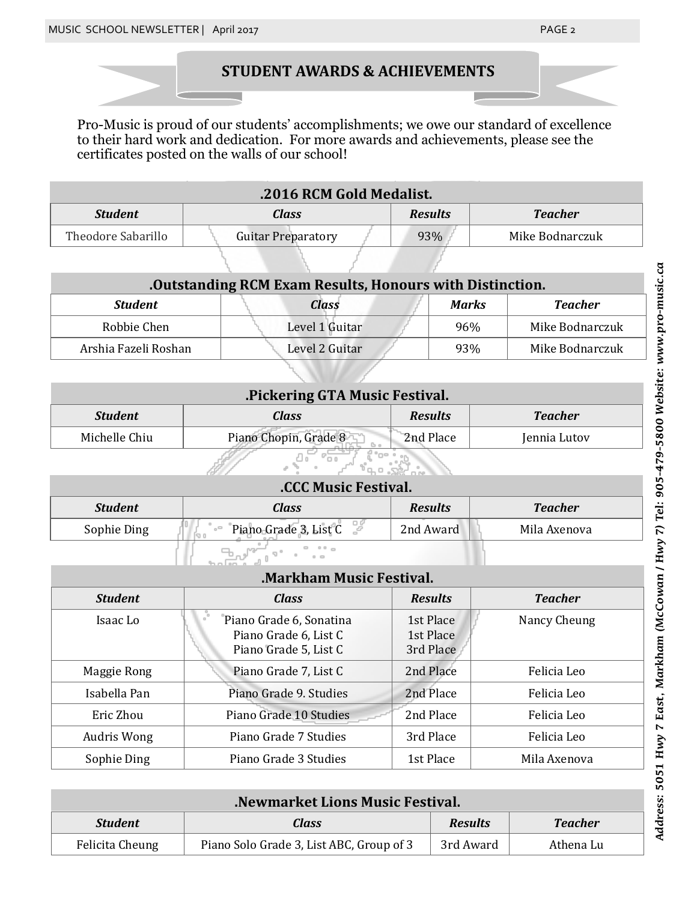# **STUDENT AWARDS & ACHIEVEMENTS**

Pro-Music is proud of our students' accomplishments; we owe our standard of excellence to their hard work and dedication. For more awards and achievements, please see the certificates posted on the walls of our school!

| .2016 RCM Gold Medalist. |                           |                |                 |
|--------------------------|---------------------------|----------------|-----------------|
| <b>Student</b>           | Class                     | <b>Results</b> | <b>Teacher</b>  |
| Theodore Sabarillo       | <b>Guitar Preparatory</b> | 93%            | Mike Bodnarczuk |

| .Outstanding RCM Exam Results, Honours with Distinction. |                |              |                 |
|----------------------------------------------------------|----------------|--------------|-----------------|
| <b>Student</b>                                           | Class          | <b>Marks</b> | <b>Teacher</b>  |
| Robbie Chen                                              | Level 1 Guitar | 96%          | Mike Bodnarczuk |
| Arshia Fazeli Roshan                                     | Level 2 Guitar | 93%          | Mike Bodnarczuk |

| .Pickering GTA Music Festival. |                       |                |                |
|--------------------------------|-----------------------|----------------|----------------|
| <b>Student</b>                 | Class                 | <b>Results</b> | <b>Teacher</b> |
| Michelle Chiu                  | Piano Chopin, Grade 8 | 2nd Place      | Jennia Lutov   |

| <b>CCC Music Festival.</b> |                       |                |                |
|----------------------------|-----------------------|----------------|----------------|
| <b>Student</b>             | Class                 | <b>Results</b> | <b>Teacher</b> |
| Sophie Ding                | Piano Grade 3, List C | 2nd Award      | Mila Axenova   |

| <b>Markham Music Festival.</b> |                                                                           |                                     |                |  |
|--------------------------------|---------------------------------------------------------------------------|-------------------------------------|----------------|--|
| <i>Student</i>                 | Class                                                                     | <b>Results</b>                      | <b>Teacher</b> |  |
| Isaac Lo                       | Piano Grade 6, Sonatina<br>Piano Grade 6, List C<br>Piano Grade 5, List C | 1st Place<br>1st Place<br>3rd Place | Nancy Cheung   |  |
| Maggie Rong                    | Piano Grade 7, List C                                                     | 2nd Place                           | Felicia Leo    |  |
| Isabella Pan                   | Piano Grade 9. Studies                                                    | 2nd Place                           | Felicia Leo    |  |
| Eric Zhou                      | Piano Grade 10 Studies                                                    | 2nd Place                           | Felicia Leo    |  |
| Audris Wong                    | Piano Grade 7 Studies                                                     | 3rd Place                           | Felicia Leo    |  |
| Sophie Ding                    | Piano Grade 3 Studies                                                     | 1st Place                           | Mila Axenova   |  |

| .Newmarket Lions Music Festival. |                                          |                |                |
|----------------------------------|------------------------------------------|----------------|----------------|
| <b>Student</b>                   | Class                                    | <b>Results</b> | <b>Teacher</b> |
| Felicita Cheung                  | Piano Solo Grade 3, List ABC, Group of 3 | 3rd Award      | Athena Lu      |